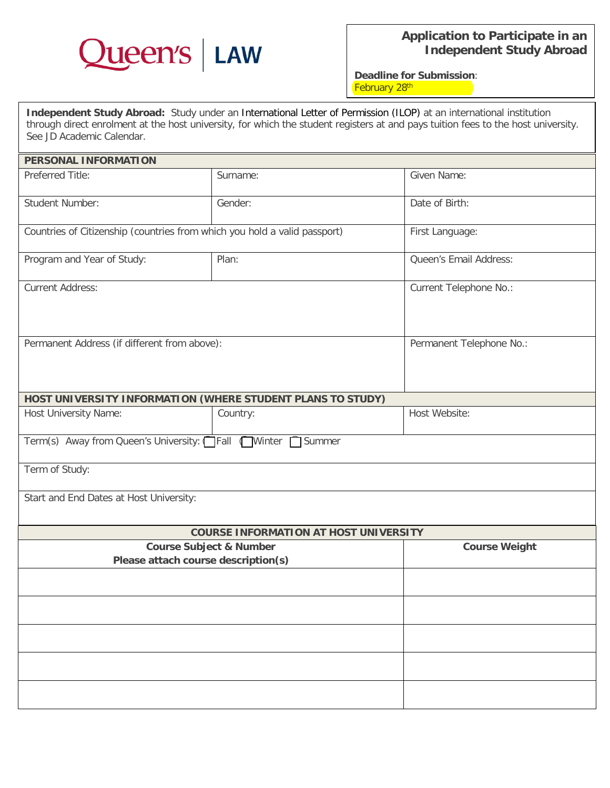

**Deadline for Submission**: February 28<sup>th</sup>

**Independent Study Abroad:** Study under an International Letter of Permission (ILOP) at an international institution through direct enrolment at the host university, for which the student registers at and pays tuition fees to the host university. See JD Academic Calendar.

| <b>PERSONAL INFORMATION</b>                                               |          |                          |
|---------------------------------------------------------------------------|----------|--------------------------|
| Preferred Title:                                                          | Surname: | Given Name:              |
| Student Number:                                                           | Gender:  | Date of Birth:           |
| Countries of Citizenship (countries from which you hold a valid passport) |          | First Language:          |
| Program and Year of Study:                                                | Plan:    | Queen's Email Address:   |
| <b>Current Address:</b>                                                   |          | Current Telephone No.:   |
| Permanent Address (if different from above):                              |          | Permanent Telephone No.: |
| HOST UNIVERSITY INFORMATION (WHERE STUDENT PLANS TO STUDY)                |          |                          |
| Host University Name:                                                     | Country: | Host Website:            |
| Term(s) Away from Queen's University: Fall Winter<br>Summer               |          |                          |
| Term of Study:                                                            |          |                          |
| Start and End Dates at Host University:                                   |          |                          |
| <b>COURSE INFORMATION AT HOST UNIVERSITY</b>                              |          |                          |
| <b>Course Subject &amp; Number</b><br>Please attach course description(s) |          | <b>Course Weight</b>     |
|                                                                           |          |                          |
|                                                                           |          |                          |
|                                                                           |          |                          |
|                                                                           |          |                          |
|                                                                           |          |                          |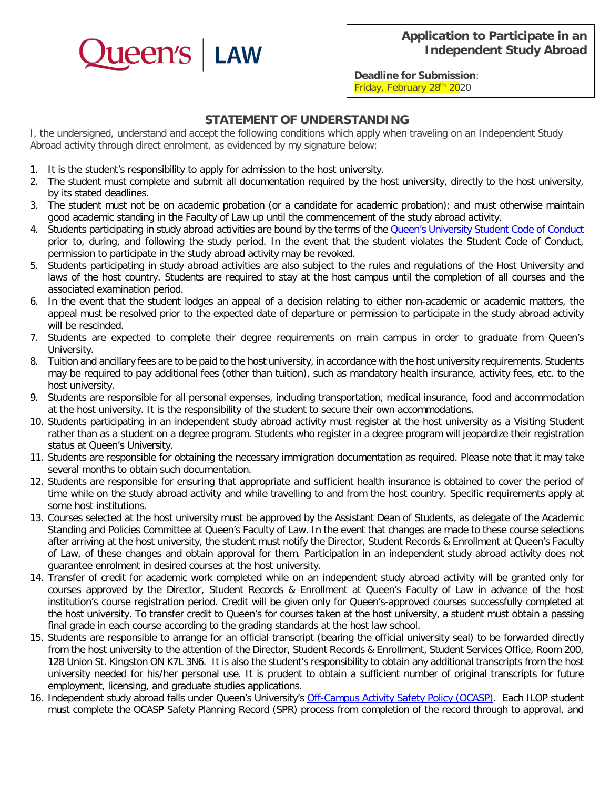

**Deadline for Submission**: Friday, February 28<sup>th</sup> 2020

## **STATEMENT OF UNDERSTANDING**

I, the undersigned, understand and accept the following conditions which apply when traveling on an Independent Study Abroad activity through direct enrolment, as evidenced by my signature below:

- 1. It is the student's responsibility to apply for admission to the host university.
- 2. The student must complete and submit all documentation required by the host university, directly to the host university, by its stated deadlines.
- 3. The student must not be on academic probation (or a candidate for academic probation); and must otherwise maintain good academic standing in the Faculty of Law up until the commencement of the study abroad activity.
- 4. Students participating in study abroad activities are bound by the terms of the **Queen's University Student Code of Conduct** prior to, during, and following the study period. In the event that the student violates the Student Code of Conduct, permission to participate in the study abroad activity may be revoked.
- 5. Students participating in study abroad activities are also subject to the rules and regulations of the Host University and laws of the host country. Students are required to stay at the host campus until the completion of all courses and the associated examination period.
- 6. In the event that the student lodges an appeal of a decision relating to either non-academic or academic matters, the appeal must be resolved prior to the expected date of departure or permission to participate in the study abroad activity will be rescinded.
- 7. Students are expected to complete their degree requirements on main campus in order to graduate from Queen's University.
- 8. Tuition and ancillary fees are to be paid to the host university, in accordance with the host university requirements. Students may be required to pay additional fees (other than tuition), such as mandatory health insurance, activity fees, etc. to the host university.
- 9. Students are responsible for all personal expenses, including transportation, medical insurance, food and accommodation at the host university. It is the responsibility of the student to secure their own accommodations.
- 10. Students participating in an independent study abroad activity must register at the host university as a Visiting Student rather than as a student on a degree program. Students who register in a degree program will jeopardize their registration status at Queen's University.
- 11. Students are responsible for obtaining the necessary immigration documentation as required. Please note that it may take several months to obtain such documentation.
- 12. Students are responsible for ensuring that appropriate and sufficient health insurance is obtained to cover the period of time while on the study abroad activity and while travelling to and from the host country. Specific requirements apply at some host institutions.
- 13. Courses selected at the host university must be approved by the Assistant Dean of Students, as delegate of the Academic Standing and Policies Committee at Queen's Faculty of Law. In the event that changes are made to these course selections after arriving at the host university, the student must notify the Director, Student Records & Enrollment at Queen's Faculty of Law, of these changes and obtain approval for them. Participation in an independent study abroad activity does not guarantee enrolment in desired courses at the host university.
- 14. Transfer of credit for academic work completed while on an independent study abroad activity will be granted only for courses approved by the Director, Student Records & Enrollment at Queen's Faculty of Law in advance of the host institution's course registration period. Credit will be given only for Queen's-approved courses successfully completed at the host university. To transfer credit to Queen's for courses taken at the host university, a student must obtain a passing final grade in each course according to the grading standards at the host law school.
- 15. Students are responsible to arrange for an official transcript (bearing the official university seal) to be forwarded directly from the host university to the attention of the Director, Student Records & Enrollment, Student Services Office, Room 200, 128 Union St. Kingston ON K7L 3N6. It is also the student's responsibility to obtain any additional transcripts from the host university needed for his/her personal use. It is prudent to obtain a sufficient number of original transcripts for future employment, licensing, and graduate studies applications.
- 16. Independent study abroad falls under Queen's University's [Off-Campus Activity Safety Policy \(OCASP\).](https://www.safety.queensu.ca/campus-activities-ocasp) Each ILOP student must complete the OCASP Safety Planning Record (SPR) process from completion of the record through to approval, and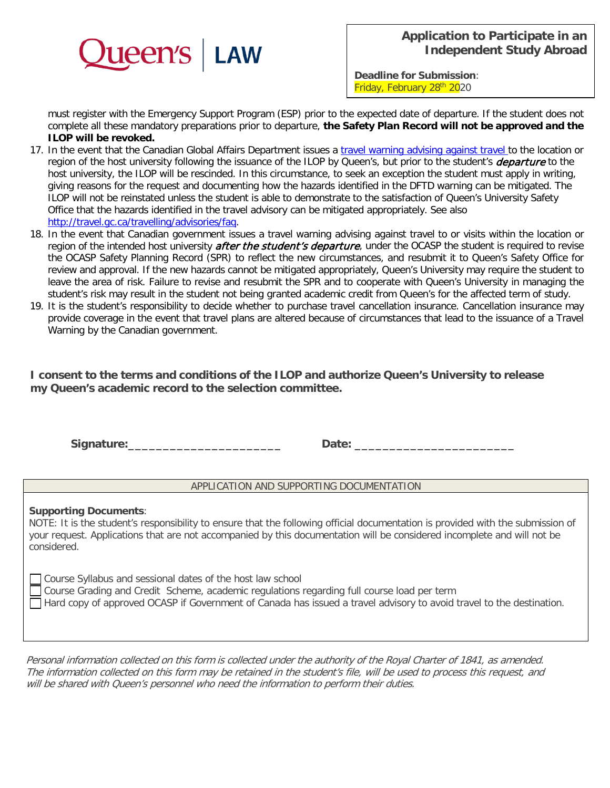

**Deadline for Submission**: Friday, February 28th 2020

must register with the Emergency Support Program (ESP) prior to the expected date of departure. If the student does not complete all these mandatory preparations prior to departure, **the Safety Plan Record will not be approved and the ILOP will be revoked.** 

- 17. In the event that the Canadian Global Affairs Department issues a *travel warning advising against travel to the location or* region of the host university following the issuance of the ILOP by Queen's, but prior to the student's *departure* to the host university, the ILOP will be rescinded. In this circumstance, to seek an exception the student must apply in writing, giving reasons for the request and documenting how the hazards identified in the DFTD warning can be mitigated. The ILOP will not be reinstated unless the student is able to demonstrate to the satisfaction of Queen's University Safety Office that the hazards identified in the travel advisory can be mitigated appropriately. See also [http://travel.gc.ca/travelling/advisories/faq.](http://travel.gc.ca/travelling/advisories/faq)
- 18. In the event that Canadian government issues a travel warning advising against travel to or visits within the location or region of the intended host university *after the student's departure*, under the OCASP the student is required to revise the OCASP Safety Planning Record (SPR) to reflect the new circumstances, and resubmit it to Queen's Safety Office for review and approval. If the new hazards cannot be mitigated appropriately, Queen's University may require the student to leave the area of risk. Failure to revise and resubmit the SPR and to cooperate with Queen's University in managing the student's risk may result in the student not being granted academic credit from Queen's for the affected term of study.
- 19. It is the student's responsibility to decide whether to purchase travel cancellation insurance. Cancellation insurance may provide coverage in the event that travel plans are altered because of circumstances that lead to the issuance of a Travel Warning by the Canadian government.

**I consent to the terms and conditions of the ILOP and authorize Queen's University to release my Queen's academic record to the selection committee.**

**Signature:\_\_\_\_\_\_\_\_\_\_\_\_\_\_\_\_\_\_\_\_\_\_ Date: \_\_\_\_\_\_\_\_\_\_\_\_\_\_\_\_\_\_\_\_\_\_\_**

## APPLICATION AND SUPPORTING DOCUMENTATION

## **Supporting Documents**: NOTE: It is the student's responsibility to ensure that the following official documentation is provided with the submission of your request. Applications that are not accompanied by this documentation will be considered incomplete and will not be considered. ⃝Course Syllabus and sessional dates of the host law school

⃝Course Grading and Credit Scheme, academic regulations regarding full course load per term

◯ Hard copy of approved OCASP if Government of Canada has issued a travel advisory to avoid travel to the destination.

Personal information collected on this form is collected under the authority of the Royal Charter of 1841, as amended. The information collected on this form may be retained in the student's file, will be used to process this request, and will be shared with Queen's personnel who need the information to perform their duties.